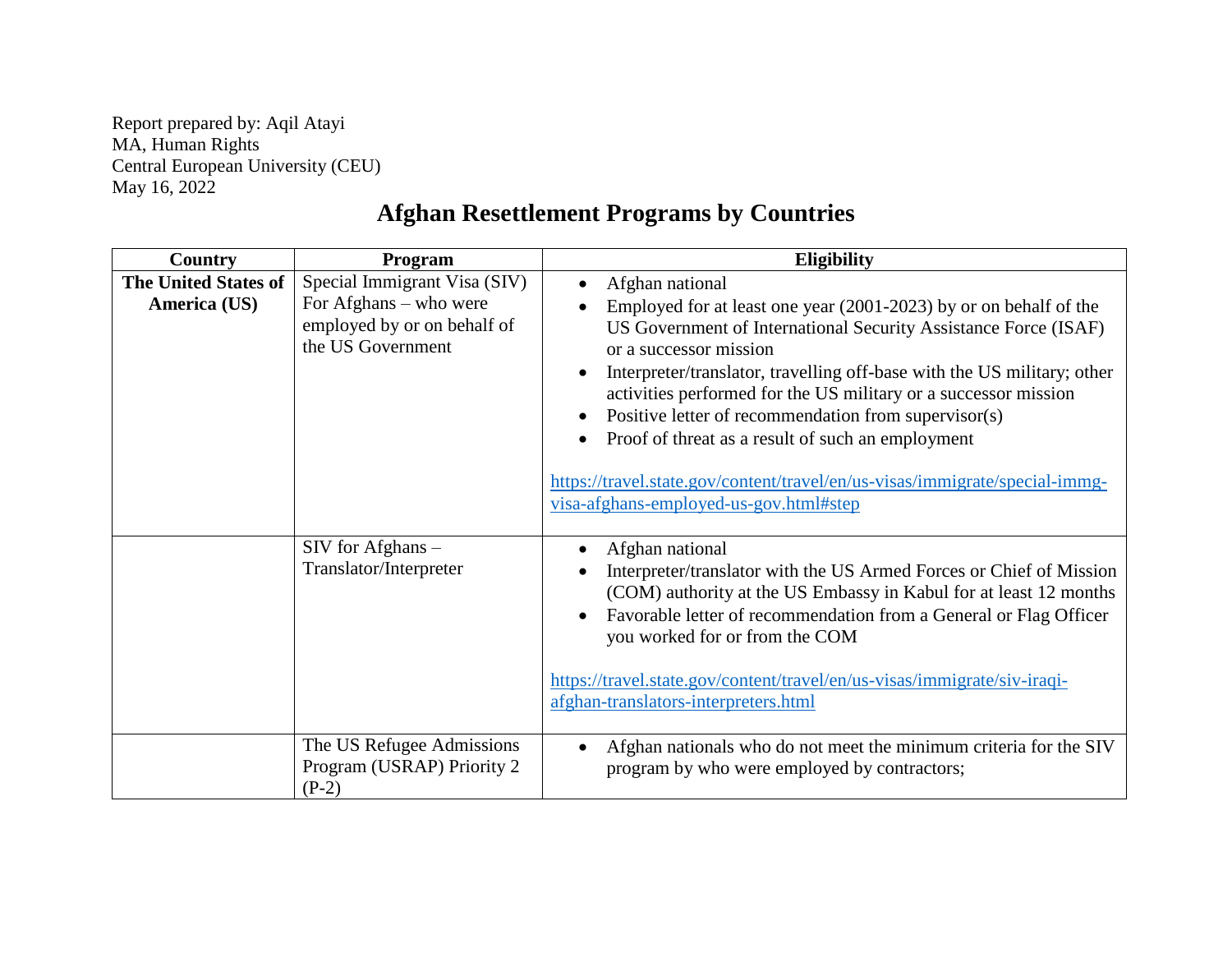Report prepared by: Aqil Atayi MA, Human Rights Central European University (CEU) May 16, 2022

## **Afghan Resettlement Programs by Countries**

| Country                                     | <b>Program</b>                                                                                             | <b>Eligibility</b>                                                                                                                                                                                                                                                                                                                                                                                                                                                                                                                                                                                   |
|---------------------------------------------|------------------------------------------------------------------------------------------------------------|------------------------------------------------------------------------------------------------------------------------------------------------------------------------------------------------------------------------------------------------------------------------------------------------------------------------------------------------------------------------------------------------------------------------------------------------------------------------------------------------------------------------------------------------------------------------------------------------------|
| <b>The United States of</b><br>America (US) | Special Immigrant Visa (SIV)<br>For Afghans – who were<br>employed by or on behalf of<br>the US Government | Afghan national<br>$\bullet$<br>Employed for at least one year (2001-2023) by or on behalf of the<br>US Government of International Security Assistance Force (ISAF)<br>or a successor mission<br>Interpreter/translator, travelling off-base with the US military; other<br>$\bullet$<br>activities performed for the US military or a successor mission<br>Positive letter of recommendation from supervisor(s)<br>٠<br>Proof of threat as a result of such an employment<br>https://travel.state.gov/content/travel/en/us-visas/immigrate/special-immg-<br>visa-afghans-employed-us-gov.html#step |
|                                             | $SIV$ for Afghans $-$<br>Translator/Interpreter                                                            | Afghan national<br>Interpreter/translator with the US Armed Forces or Chief of Mission<br>(COM) authority at the US Embassy in Kabul for at least 12 months<br>Favorable letter of recommendation from a General or Flag Officer<br>you worked for or from the COM<br>https://travel.state.gov/content/travel/en/us-visas/immigrate/siv-iraqi-<br>afghan-translators-interpreters.html                                                                                                                                                                                                               |
|                                             | The US Refugee Admissions<br>Program (USRAP) Priority 2<br>$(P-2)$                                         | Afghan nationals who do not meet the minimum criteria for the SIV<br>$\bullet$<br>program by who were employed by contractors;                                                                                                                                                                                                                                                                                                                                                                                                                                                                       |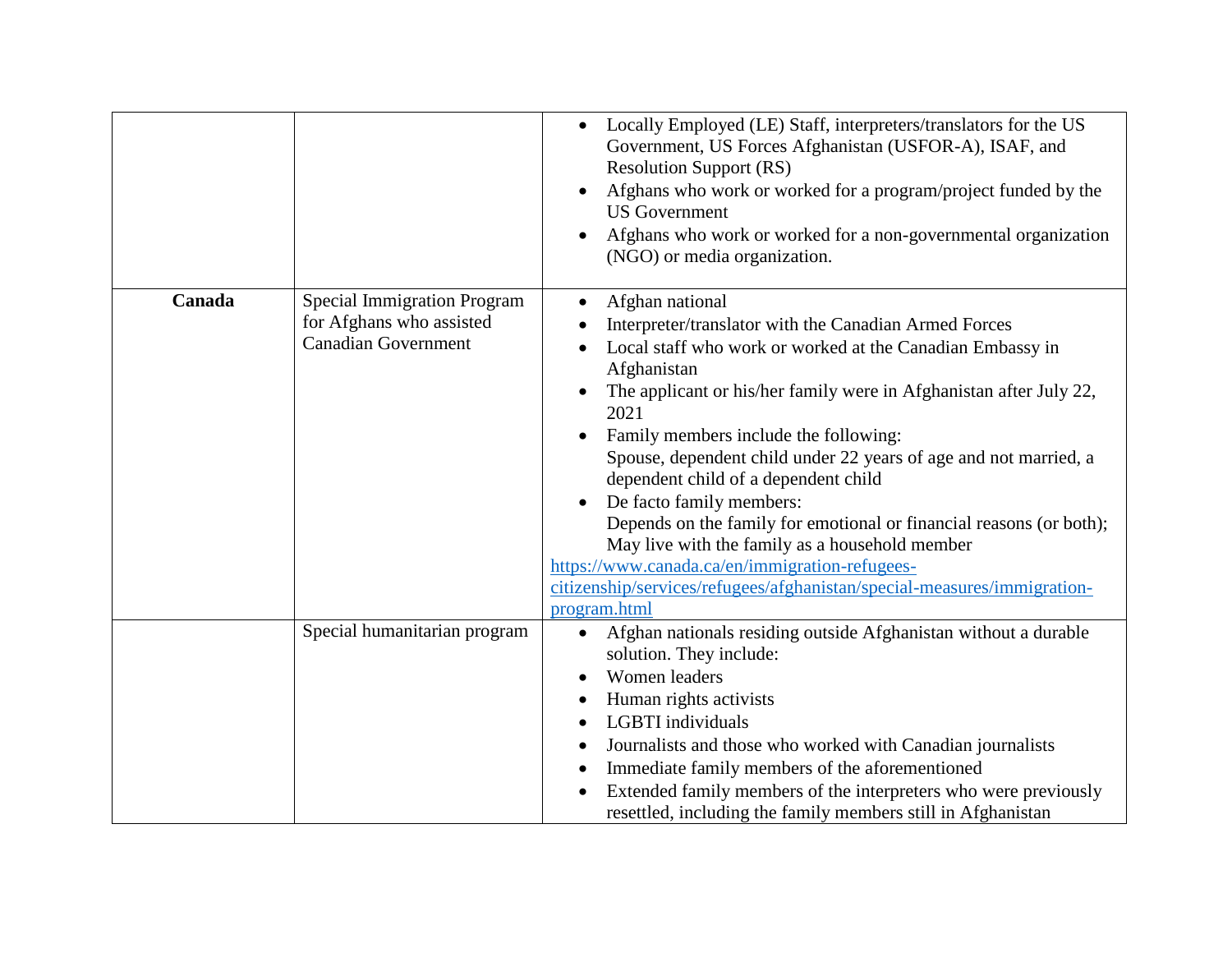|        |                                                                                              | Locally Employed (LE) Staff, interpreters/translators for the US<br>$\bullet$<br>Government, US Forces Afghanistan (USFOR-A), ISAF, and<br><b>Resolution Support (RS)</b><br>Afghans who work or worked for a program/project funded by the<br>$\bullet$<br><b>US</b> Government<br>Afghans who work or worked for a non-governmental organization<br>(NGO) or media organization.                                                                                                                                                                                                                                                                                                             |
|--------|----------------------------------------------------------------------------------------------|------------------------------------------------------------------------------------------------------------------------------------------------------------------------------------------------------------------------------------------------------------------------------------------------------------------------------------------------------------------------------------------------------------------------------------------------------------------------------------------------------------------------------------------------------------------------------------------------------------------------------------------------------------------------------------------------|
| Canada | <b>Special Immigration Program</b><br>for Afghans who assisted<br><b>Canadian Government</b> | Afghan national<br>Interpreter/translator with the Canadian Armed Forces<br>Local staff who work or worked at the Canadian Embassy in<br>Afghanistan<br>The applicant or his/her family were in Afghanistan after July 22,<br>2021<br>Family members include the following:<br>Spouse, dependent child under 22 years of age and not married, a<br>dependent child of a dependent child<br>De facto family members:<br>٠<br>Depends on the family for emotional or financial reasons (or both);<br>May live with the family as a household member<br>https://www.canada.ca/en/immigration-refugees-<br>citizenship/services/refugees/afghanistan/special-measures/immigration-<br>program.html |
|        | Special humanitarian program                                                                 | Afghan nationals residing outside Afghanistan without a durable<br>$\bullet$<br>solution. They include:<br>Women leaders<br>Human rights activists<br>LGBTI individuals<br>Journalists and those who worked with Canadian journalists<br>Immediate family members of the aforementioned<br>Extended family members of the interpreters who were previously<br>$\bullet$<br>resettled, including the family members still in Afghanistan                                                                                                                                                                                                                                                        |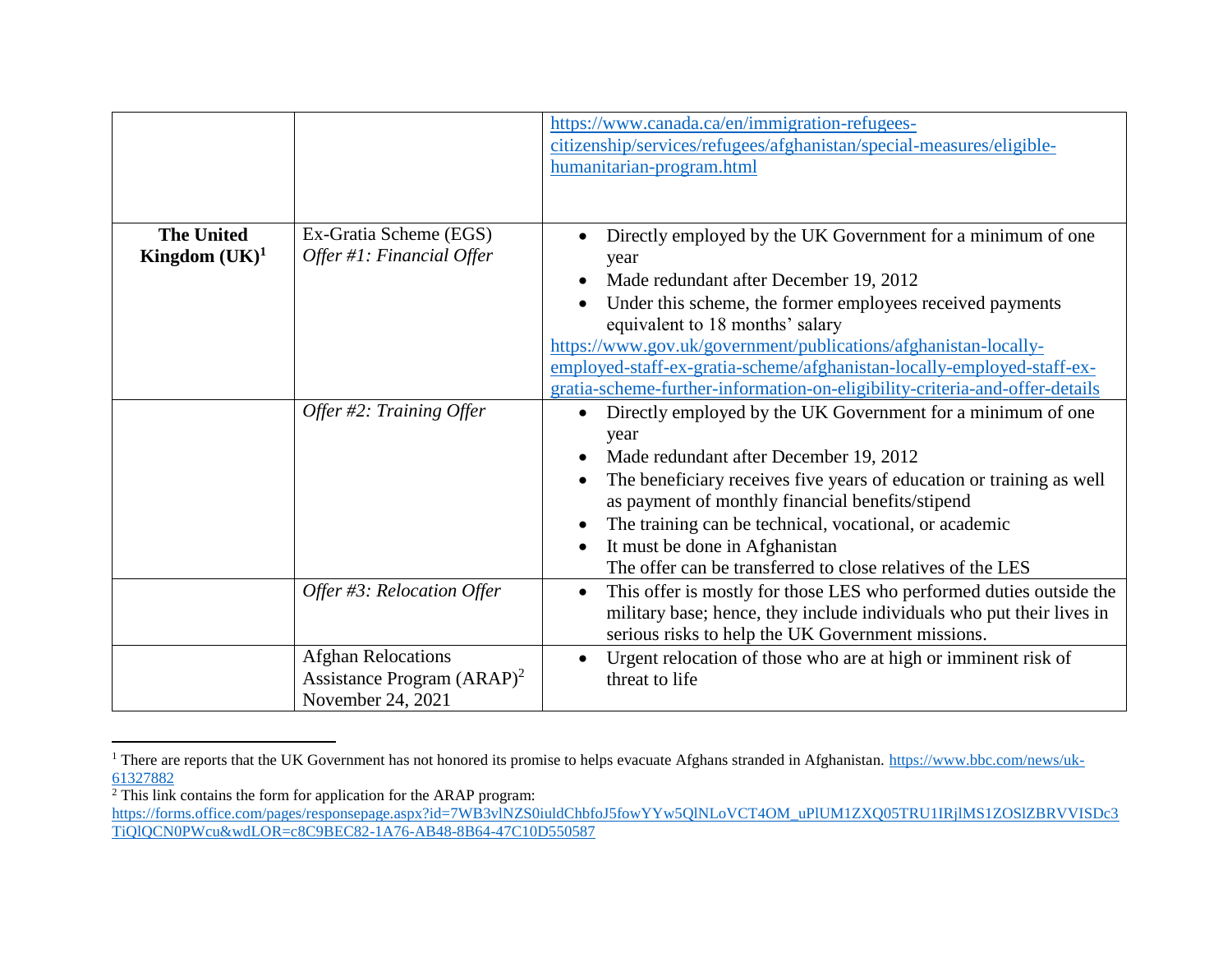|                                       |                                                                                 | https://www.canada.ca/en/immigration-refugees-<br>citizenship/services/refugees/afghanistan/special-measures/eligible-<br>humanitarian-program.html                                                                                                                                                                                                                                                                                                                  |
|---------------------------------------|---------------------------------------------------------------------------------|----------------------------------------------------------------------------------------------------------------------------------------------------------------------------------------------------------------------------------------------------------------------------------------------------------------------------------------------------------------------------------------------------------------------------------------------------------------------|
| <b>The United</b><br>Kingdom $(UK)^1$ | Ex-Gratia Scheme (EGS)<br>Offer #1: Financial Offer                             | Directly employed by the UK Government for a minimum of one<br>year<br>Made redundant after December 19, 2012<br>Under this scheme, the former employees received payments<br>equivalent to 18 months' salary<br>https://www.gov.uk/government/publications/afghanistan-locally-<br>employed-staff-ex-gratia-scheme/afghanistan-locally-employed-staff-ex-<br>gratia-scheme-further-information-on-eligibility-criteria-and-offer-details                            |
|                                       | Offer #2: Training Offer                                                        | Directly employed by the UK Government for a minimum of one<br>$\bullet$<br>year<br>Made redundant after December 19, 2012<br>$\bullet$<br>The beneficiary receives five years of education or training as well<br>$\bullet$<br>as payment of monthly financial benefits/stipend<br>The training can be technical, vocational, or academic<br>$\bullet$<br>It must be done in Afghanistan<br>$\bullet$<br>The offer can be transferred to close relatives of the LES |
|                                       | Offer #3: Relocation Offer                                                      | This offer is mostly for those LES who performed duties outside the<br>$\bullet$<br>military base; hence, they include individuals who put their lives in<br>serious risks to help the UK Government missions.                                                                                                                                                                                                                                                       |
|                                       | <b>Afghan Relocations</b><br>Assistance Program $(ARAP)^2$<br>November 24, 2021 | Urgent relocation of those who are at high or imminent risk of<br>$\bullet$<br>threat to life                                                                                                                                                                                                                                                                                                                                                                        |

<sup>&</sup>lt;sup>1</sup> There are reports that the UK Government has not honored its promise to helps evacuate Afghans stranded in Afghanistan. [https://www.bbc.com/news/uk-](https://www.bbc.com/news/uk-61327882)[61327882](https://www.bbc.com/news/uk-61327882)

 $\overline{a}$ 

 $2$  This link contains the form for application for the ARAP program:

[https://forms.office.com/pages/responsepage.aspx?id=7WB3vlNZS0iuldChbfoJ5fowYYw5QlNLoVCT4OM\\_uPlUM1ZXQ05TRU1IRjlMS1ZOSlZBRVVISDc3](https://forms.office.com/pages/responsepage.aspx?id=7WB3vlNZS0iuldChbfoJ5fowYYw5QlNLoVCT4OM_uPlUM1ZXQ05TRU1IRjlMS1ZOSlZBRVVISDc3TiQlQCN0PWcu&wdLOR=c8C9BEC82-1A76-AB48-8B64-47C10D550587) [TiQlQCN0PWcu&wdLOR=c8C9BEC82-1A76-AB48-8B64-47C10D550587](https://forms.office.com/pages/responsepage.aspx?id=7WB3vlNZS0iuldChbfoJ5fowYYw5QlNLoVCT4OM_uPlUM1ZXQ05TRU1IRjlMS1ZOSlZBRVVISDc3TiQlQCN0PWcu&wdLOR=c8C9BEC82-1A76-AB48-8B64-47C10D550587)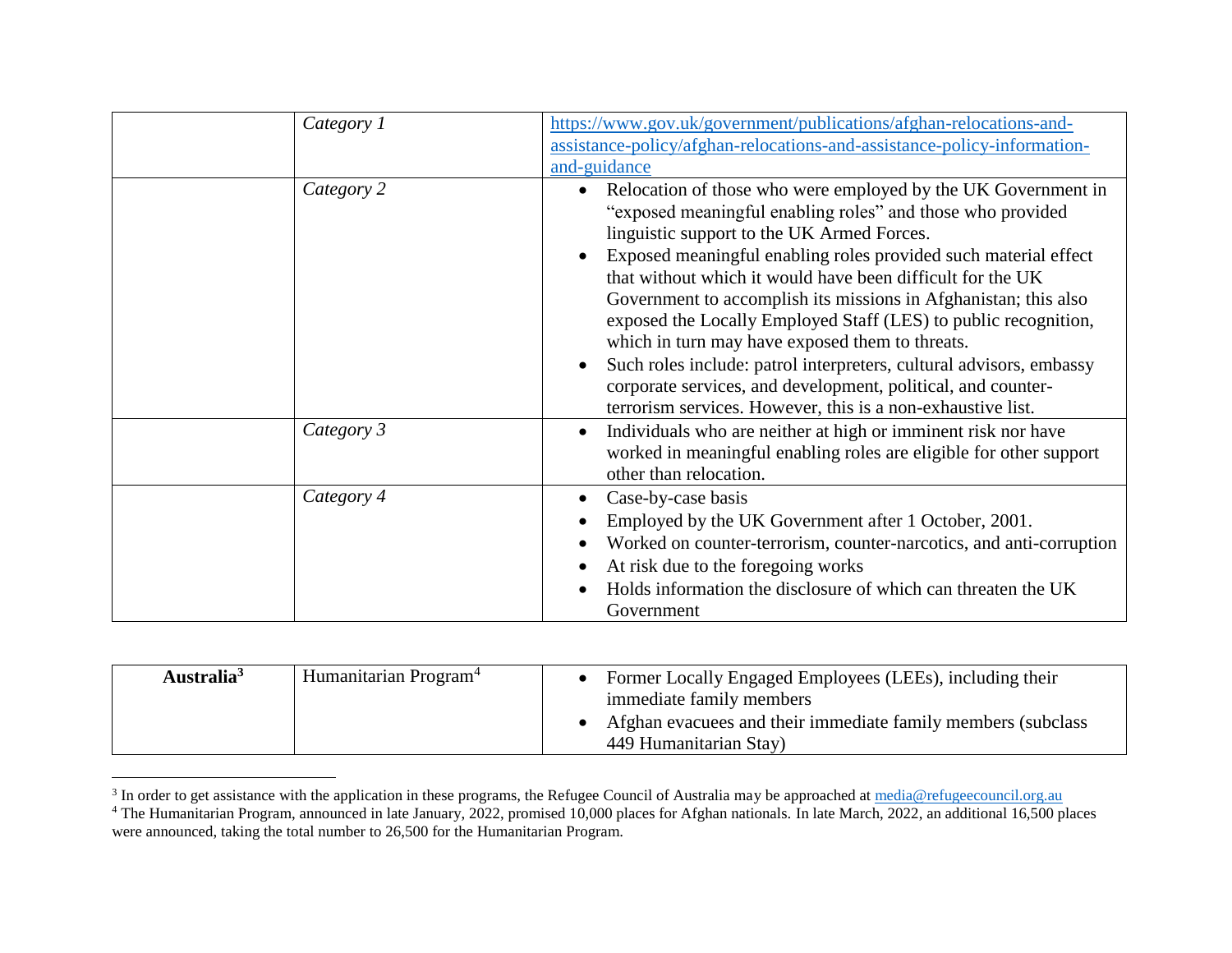| Category 1 | https://www.gov.uk/government/publications/afghan-relocations-and-<br>assistance-policy/afghan-relocations-and-assistance-policy-information-<br>and-guidance                                                                                                                                                                                                                                                                                                                                                                                                                                                                                                                                                                       |
|------------|-------------------------------------------------------------------------------------------------------------------------------------------------------------------------------------------------------------------------------------------------------------------------------------------------------------------------------------------------------------------------------------------------------------------------------------------------------------------------------------------------------------------------------------------------------------------------------------------------------------------------------------------------------------------------------------------------------------------------------------|
| Category 2 | Relocation of those who were employed by the UK Government in<br>$\bullet$<br>"exposed meaningful enabling roles" and those who provided<br>linguistic support to the UK Armed Forces.<br>Exposed meaningful enabling roles provided such material effect<br>that without which it would have been difficult for the UK<br>Government to accomplish its missions in Afghanistan; this also<br>exposed the Locally Employed Staff (LES) to public recognition,<br>which in turn may have exposed them to threats.<br>Such roles include: patrol interpreters, cultural advisors, embassy<br>$\bullet$<br>corporate services, and development, political, and counter-<br>terrorism services. However, this is a non-exhaustive list. |
| Category 3 | Individuals who are neither at high or imminent risk nor have<br>$\bullet$<br>worked in meaningful enabling roles are eligible for other support<br>other than relocation.                                                                                                                                                                                                                                                                                                                                                                                                                                                                                                                                                          |
| Category 4 | Case-by-case basis<br>Employed by the UK Government after 1 October, 2001.<br>Worked on counter-terrorism, counter-narcotics, and anti-corruption<br>At risk due to the foregoing works<br>Holds information the disclosure of which can threaten the UK<br>Government                                                                                                                                                                                                                                                                                                                                                                                                                                                              |

| Australia <sup>3</sup> | Humanitarian Program <sup>4</sup> | Former Locally Engaged Employees (LEEs), including their<br>immediate family members    |  |
|------------------------|-----------------------------------|-----------------------------------------------------------------------------------------|--|
|                        |                                   | Afghan evacuees and their immediate family members (subclass)<br>449 Humanitarian Stay) |  |

<sup>&</sup>lt;sup>3</sup> In order to get assistance with the application in these programs, the Refugee Council of Australia may be approached at [media@refugeecouncil.org.au](mailto:media@refugeecouncil.org.au)

<sup>&</sup>lt;sup>4</sup> The Humanitarian Program, announced in late January, 2022, promised 10,000 places for Afghan nationals. In late March, 2022, an additional 16,500 places were announced, taking the total number to 26,500 for the Humanitarian Program.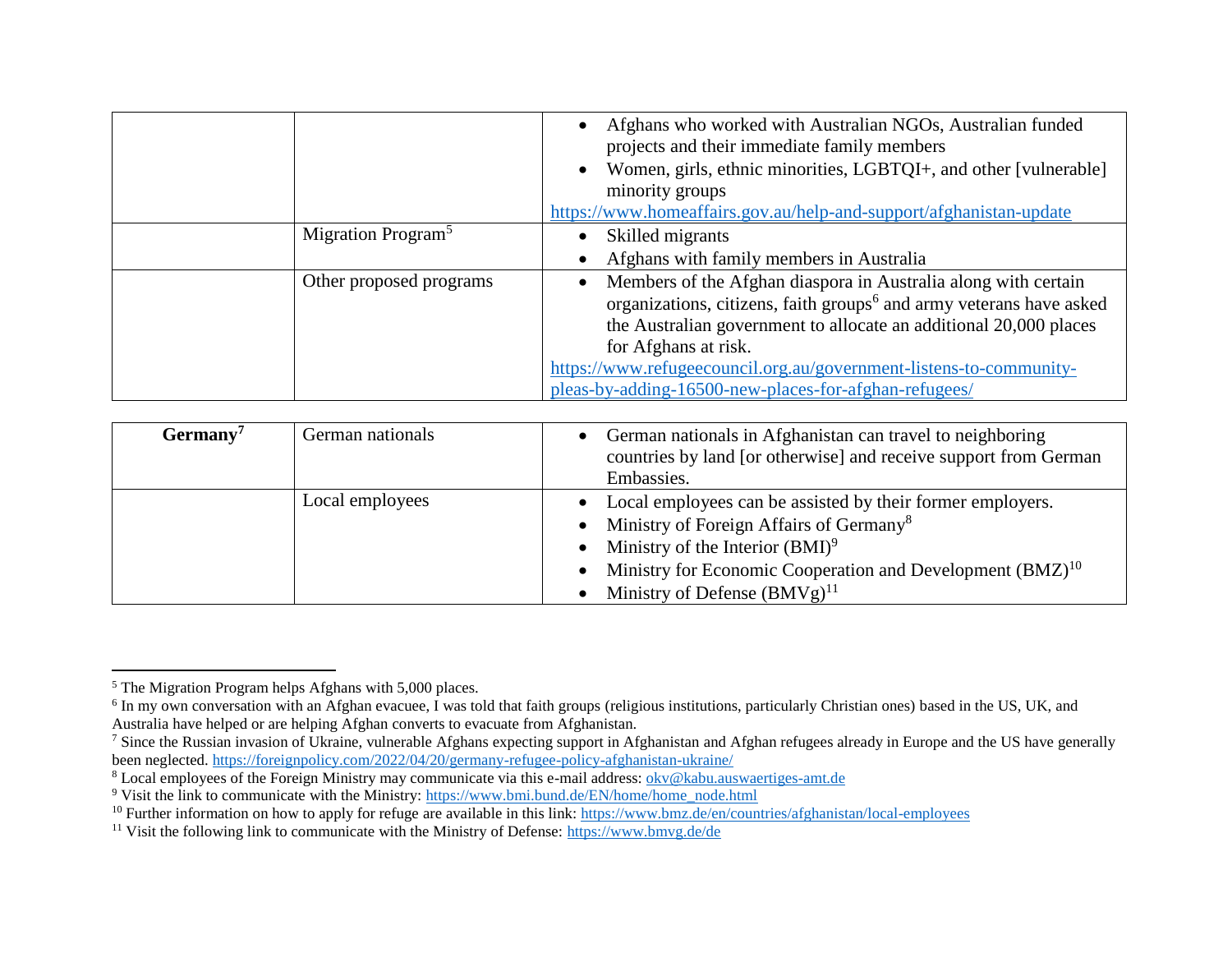|                                | Afghans who worked with Australian NGOs, Australian funded<br>$\bullet$<br>projects and their immediate family members<br>Women, girls, ethnic minorities, LGBTQI+, and other [vulnerable]<br>$\bullet$<br>minority groups<br>https://www.homeaffairs.gov.au/help-and-support/afghanistan-update                                                                                           |
|--------------------------------|--------------------------------------------------------------------------------------------------------------------------------------------------------------------------------------------------------------------------------------------------------------------------------------------------------------------------------------------------------------------------------------------|
| Migration Program <sup>5</sup> | Skilled migrants<br>Afghans with family members in Australia                                                                                                                                                                                                                                                                                                                               |
| Other proposed programs        | Members of the Afghan diaspora in Australia along with certain<br>$\bullet$<br>organizations, citizens, faith groups <sup>6</sup> and army veterans have asked<br>the Australian government to allocate an additional 20,000 places<br>for Afghans at risk.<br>https://www.refugeecouncil.org.au/government-listens-to-community-<br>pleas-by-adding-16500-new-places-for-afghan-refugees/ |

| $Germany^7$ | German nationals | German nationals in Afghanistan can travel to neighboring<br>countries by land [or otherwise] and receive support from German<br>Embassies.                                                                                                                                                         |
|-------------|------------------|-----------------------------------------------------------------------------------------------------------------------------------------------------------------------------------------------------------------------------------------------------------------------------------------------------|
|             | Local employees  | Local employees can be assisted by their former employers.<br>$\bullet$<br>• Ministry of Foreign Affairs of Germany <sup>8</sup><br>• Ministry of the Interior $(BMI)^9$<br>Ministry for Economic Cooperation and Development (BMZ) <sup>10</sup><br>$\bullet$<br>Ministry of Defense $(BMVg)^{11}$ |

 $\overline{a}$ <sup>5</sup> The Migration Program helps Afghans with 5,000 places.

<sup>&</sup>lt;sup>6</sup> In my own conversation with an Afghan evacuee, I was told that faith groups (religious institutions, particularly Christian ones) based in the US, UK, and Australia have helped or are helping Afghan converts to evacuate from Afghanistan.

<sup>&</sup>lt;sup>7</sup> Since the Russian invasion of Ukraine, vulnerable Afghans expecting support in Afghanistan and Afghan refugees already in Europe and the US have generally been neglected[. https://foreignpolicy.com/2022/04/20/germany-refugee-policy-afghanistan-ukraine/](https://foreignpolicy.com/2022/04/20/germany-refugee-policy-afghanistan-ukraine/)

<sup>&</sup>lt;sup>8</sup> Local employees of the Foreign Ministry may communicate via this e-mail address: [okv@kabu.auswaertiges-amt.de](mailto:okv@kabu.auswaertiges-amt.de)

<sup>9</sup> Visit the link to communicate with the Ministry: [https://www.bmi.bund.de/EN/home/home\\_node.html](https://www.bmi.bund.de/EN/home/home_node.html)

<sup>&</sup>lt;sup>10</sup> Further information on how to apply for refuge are available in this link:<https://www.bmz.de/en/countries/afghanistan/local-employees>

<sup>&</sup>lt;sup>11</sup> Visit the following link to communicate with the Ministry of Defense:<https://www.bmvg.de/de>